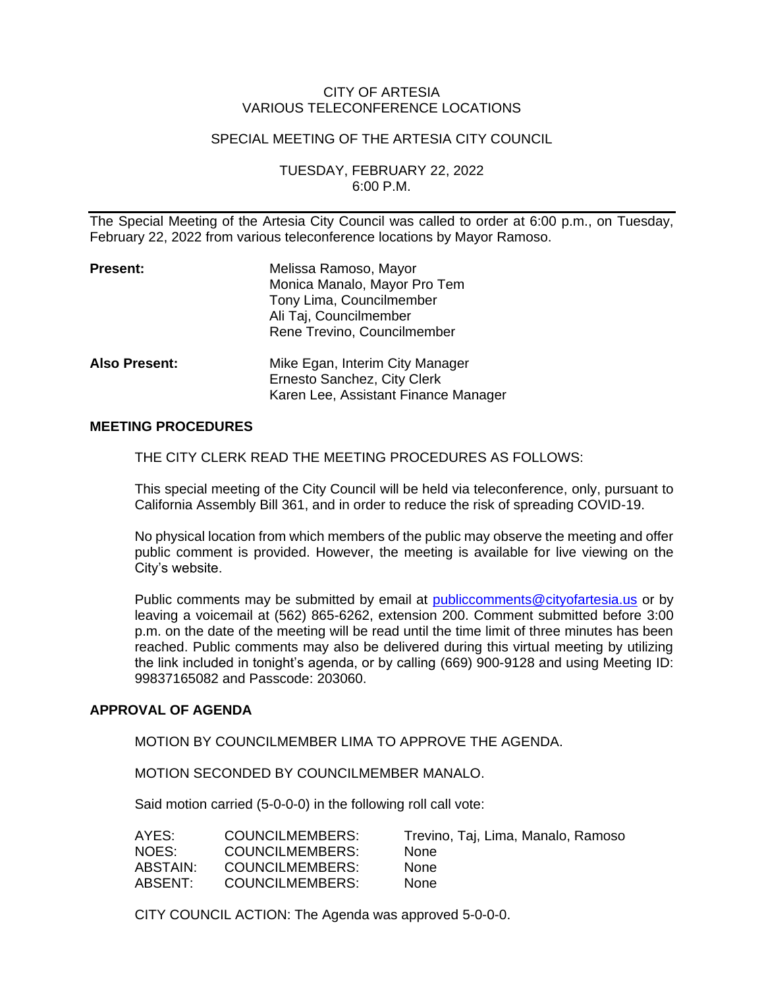## CITY OF ARTESIA VARIOUS TELECONFERENCE LOCATIONS

## SPECIAL MEETING OF THE ARTESIA CITY COUNCIL

TUESDAY, FEBRUARY 22, 2022 6:00 P.M.

The Special Meeting of the Artesia City Council was called to order at 6:00 p.m., on Tuesday, February 22, 2022 from various teleconference locations by Mayor Ramoso.

| <b>Present:</b>      | Melissa Ramoso, Mayor<br>Monica Manalo, Mayor Pro Tem<br>Tony Lima, Councilmember<br>Ali Taj, Councilmember<br>Rene Trevino, Councilmember |
|----------------------|--------------------------------------------------------------------------------------------------------------------------------------------|
| <b>Also Present:</b> | Mike Egan, Interim City Manager<br>Ernesto Sanchez, City Clerk<br>Karen Lee, Assistant Finance Manager                                     |

## **MEETING PROCEDURES**

THE CITY CLERK READ THE MEETING PROCEDURES AS FOLLOWS:

This special meeting of the City Council will be held via teleconference, only, pursuant to California Assembly Bill 361, and in order to reduce the risk of spreading COVID-19.

No physical location from which members of the public may observe the meeting and offer public comment is provided. However, the meeting is available for live viewing on the City's website.

Public comments may be submitted by email at [publiccomments@cityofartesia.us](mailto:publiccomments@cityofartesia.us) or by leaving a voicemail at (562) 865-6262, extension 200. Comment submitted before 3:00 p.m. on the date of the meeting will be read until the time limit of three minutes has been reached. Public comments may also be delivered during this virtual meeting by utilizing the link included in tonight's agenda, or by calling (669) 900-9128 and using Meeting ID: 99837165082 and Passcode: 203060.

#### **APPROVAL OF AGENDA**

MOTION BY COUNCILMEMBER LIMA TO APPROVE THE AGENDA.

MOTION SECONDED BY COUNCILMEMBER MANALO.

Said motion carried (5-0-0-0) in the following roll call vote:

| COUNCILMEMBERS: | Trevino, Taj, Lima, Manalo, Ramoso |
|-----------------|------------------------------------|
| COUNCILMEMBERS: | <b>None</b>                        |
| COUNCILMEMBERS: | None                               |
| COUNCILMEMBERS: | <b>None</b>                        |
|                 |                                    |

CITY COUNCIL ACTION: The Agenda was approved 5-0-0-0.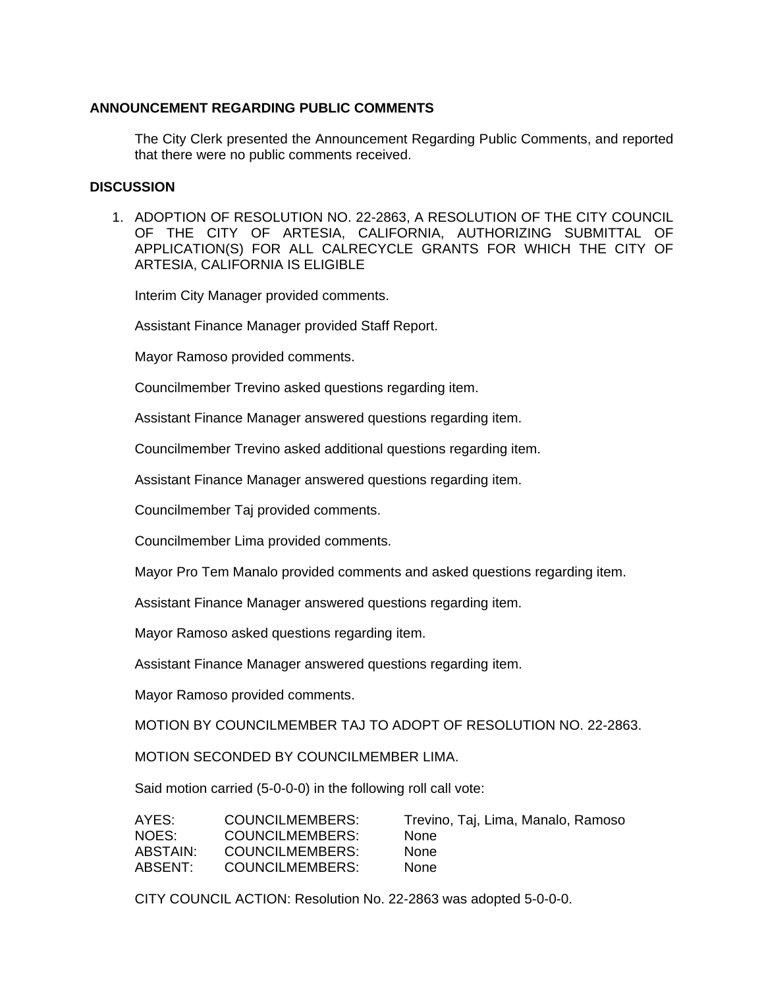## **ANNOUNCEMENT REGARDING PUBLIC COMMENTS**

The City Clerk presented the Announcement Regarding Public Comments, and reported that there were no public comments received.

#### **DISCUSSION**

1. ADOPTION OF RESOLUTION NO. 22-2863, A RESOLUTION OF THE CITY COUNCIL OF THE CITY OF ARTESIA, CALIFORNIA, AUTHORIZING SUBMITTAL OF APPLICATION(S) FOR ALL CALRECYCLE GRANTS FOR WHICH THE CITY OF ARTESIA, CALIFORNIA IS ELIGIBLE

Interim City Manager provided comments.

Assistant Finance Manager provided Staff Report.

Mayor Ramoso provided comments.

Councilmember Trevino asked questions regarding item.

Assistant Finance Manager answered questions regarding item.

Councilmember Trevino asked additional questions regarding item.

Assistant Finance Manager answered questions regarding item.

Councilmember Taj provided comments.

Councilmember Lima provided comments.

Mayor Pro Tem Manalo provided comments and asked questions regarding item.

Assistant Finance Manager answered questions regarding item.

Mayor Ramoso asked questions regarding item.

Assistant Finance Manager answered questions regarding item.

Mayor Ramoso provided comments.

MOTION BY COUNCILMEMBER TAJ TO ADOPT OF RESOLUTION NO. 22-2863.

MOTION SECONDED BY COUNCILMEMBER LIMA.

Said motion carried (5-0-0-0) in the following roll call vote:

| AYES:    | COUNCILMEMBERS: | Trevino, Taj, Lima, Manalo, Ramoso |
|----------|-----------------|------------------------------------|
| NOES:    | COUNCILMEMBERS: | <b>None</b>                        |
| ABSTAIN: | COUNCILMEMBERS: | <b>None</b>                        |
| ABSENT:  | COUNCILMEMBERS: | <b>None</b>                        |

CITY COUNCIL ACTION: Resolution No. 22-2863 was adopted 5-0-0-0.